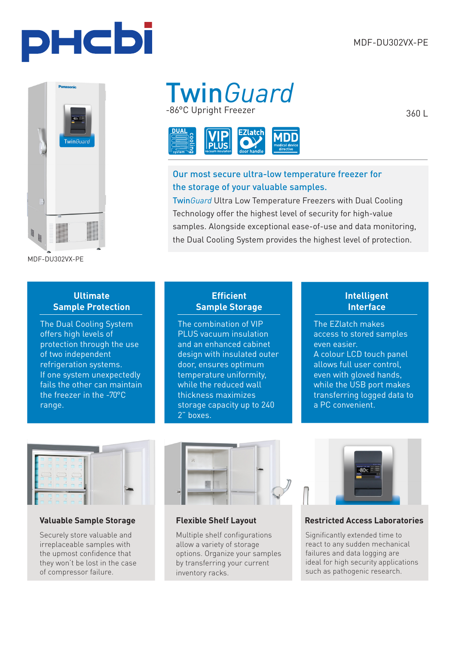



MDF-DU302VX-PE

## -86°C Upright Freezer Twin*Guard*



### Our most secure ultra-low temperature freezer for the storage of your valuable samples.

Twin*Guard* Ultra Low Temperature Freezers with Dual Cooling Technology offer the highest level of security for high-value samples. Alongside exceptional ease-of-use and data monitoring, the Dual Cooling System provides the highest level of protection.

#### **Ultimate Sample Protection**

The Dual Cooling System offers high levels of protection through the use of two independent refrigeration systems. If one system unexpectedly fails the other can maintain the freezer in the -70°C range.

#### **Efficient Sample Storage**

The combination of VIP PLUS vacuum insulation and an enhanced cabinet design with insulated outer door, ensures optimum temperature uniformity, while the reduced wall thickness maximizes storage capacity up to 240 2" boxes.

#### **Intelligent Interface**

The EZlatch makes access to stored samples even easier. A colour LCD touch panel allows full user control, even with gloved hands, while the USB port makes transferring logged data to a PC convenient.



#### **Valuable Sample Storage Flexible Shelf Layout**

Securely store valuable and irreplaceable samples with the upmost confidence that they won't be lost in the case of compressor failure.



Multiple shelf configurations allow a variety of storage options. Organize your samples by transferring your current inventory racks.



**Restricted Access Laboratories**

Significantly extended time to react to any sudden mechanical failures and data logging are ideal for high security applications such as pathogenic research.

360 L